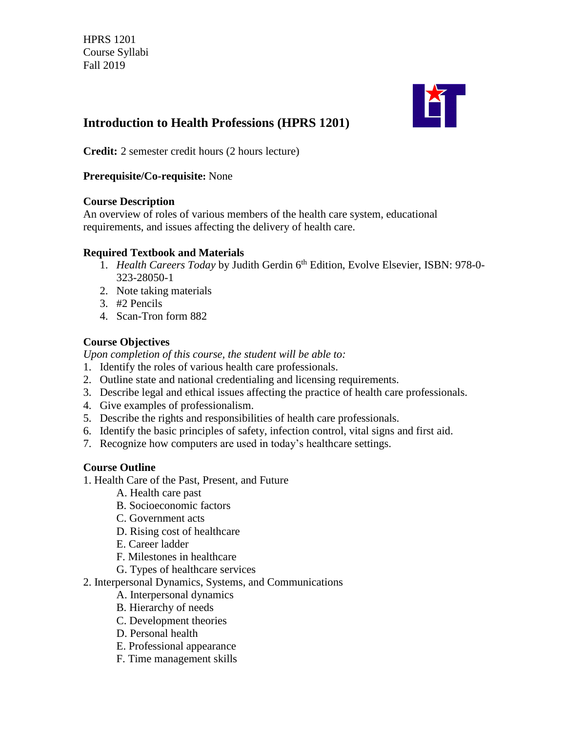

# **Introduction to Health Professions (HPRS 1201)**

**Credit:** 2 semester credit hours (2 hours lecture)

#### **Prerequisite/Co-requisite:** None

#### **Course Description**

An overview of roles of various members of the health care system, educational requirements, and issues affecting the delivery of health care.

#### **Required Textbook and Materials**

- 1. *Health Careers Today* by Judith Gerdin 6<sup>th</sup> Edition, Evolve Elsevier, ISBN: 978-0-323-28050-1
- 2. Note taking materials
- 3. #2 Pencils
- 4. Scan-Tron form 882

### **Course Objectives**

*Upon completion of this course, the student will be able to:*

- 1. Identify the roles of various health care professionals.
- 2. Outline state and national credentialing and licensing requirements.
- 3. Describe legal and ethical issues affecting the practice of health care professionals.
- 4. Give examples of professionalism.
- 5. Describe the rights and responsibilities of health care professionals.
- 6. Identify the basic principles of safety, infection control, vital signs and first aid.
- 7. Recognize how computers are used in today's healthcare settings.

### **Course Outline**

- 1. Health Care of the Past, Present, and Future
	- A. Health care past
	- B. Socioeconomic factors
	- C. Government acts
	- D. Rising cost of healthcare
	- E. Career ladder
	- F. Milestones in healthcare
	- G. Types of healthcare services
- 2. Interpersonal Dynamics, Systems, and Communications
	- A. Interpersonal dynamics
	- B. Hierarchy of needs
	- C. Development theories
	- D. Personal health
	- E. Professional appearance
	- F. Time management skills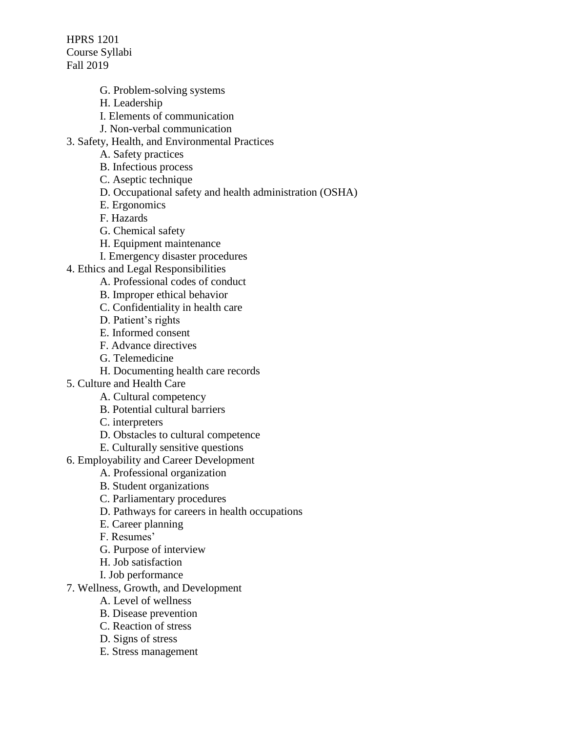- G. Problem-solving systems
- H. Leadership
- I. Elements of communication
- J. Non-verbal communication
- 3. Safety, Health, and Environmental Practices
	- A. Safety practices
	- B. Infectious process
	- C. Aseptic technique
	- D. Occupational safety and health administration (OSHA)
	- E. Ergonomics
	- F. Hazards
	- G. Chemical safety
	- H. Equipment maintenance
	- I. Emergency disaster procedures
- 4. Ethics and Legal Responsibilities
	- A. Professional codes of conduct
	- B. Improper ethical behavior
	- C. Confidentiality in health care
	- D. Patient's rights
	- E. Informed consent
	- F. Advance directives
	- G. Telemedicine
	- H. Documenting health care records
- 5. Culture and Health Care
	- A. Cultural competency
	- B. Potential cultural barriers
	- C. interpreters
	- D. Obstacles to cultural competence
	- E. Culturally sensitive questions
- 6. Employability and Career Development
	- A. Professional organization
	- B. Student organizations
	- C. Parliamentary procedures
	- D. Pathways for careers in health occupations
	- E. Career planning
	- F. Resumes'
	- G. Purpose of interview
	- H. Job satisfaction
	- I. Job performance
- 7. Wellness, Growth, and Development
	- A. Level of wellness
	- B. Disease prevention
	- C. Reaction of stress
	- D. Signs of stress
	- E. Stress management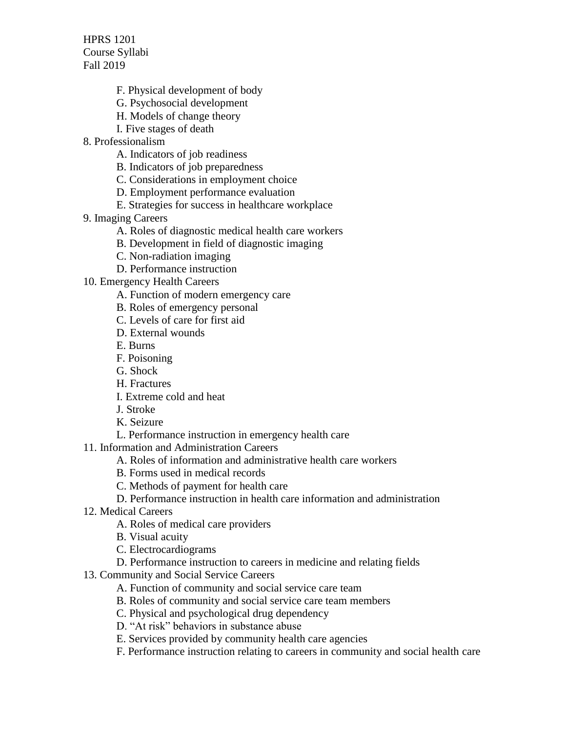- F. Physical development of body
- G. Psychosocial development
- H. Models of change theory
- I. Five stages of death
- 8. Professionalism
	- A. Indicators of job readiness
	- B. Indicators of job preparedness
	- C. Considerations in employment choice
	- D. Employment performance evaluation
	- E. Strategies for success in healthcare workplace
- 9. Imaging Careers
	- A. Roles of diagnostic medical health care workers
	- B. Development in field of diagnostic imaging
	- C. Non-radiation imaging
	- D. Performance instruction
- 10. Emergency Health Careers
	- A. Function of modern emergency care
	- B. Roles of emergency personal
	- C. Levels of care for first aid
	- D. External wounds
	- E. Burns
	- F. Poisoning
	- G. Shock
	- H. Fractures
	- I. Extreme cold and heat
	- J. Stroke
	- K. Seizure
	- L. Performance instruction in emergency health care

11. Information and Administration Careers

- A. Roles of information and administrative health care workers
- B. Forms used in medical records
- C. Methods of payment for health care
- D. Performance instruction in health care information and administration
- 12. Medical Careers
	- A. Roles of medical care providers
	- B. Visual acuity
	- C. Electrocardiograms
	- D. Performance instruction to careers in medicine and relating fields
- 13. Community and Social Service Careers
	- A. Function of community and social service care team
	- B. Roles of community and social service care team members
	- C. Physical and psychological drug dependency
	- D. "At risk" behaviors in substance abuse
	- E. Services provided by community health care agencies
	- F. Performance instruction relating to careers in community and social health care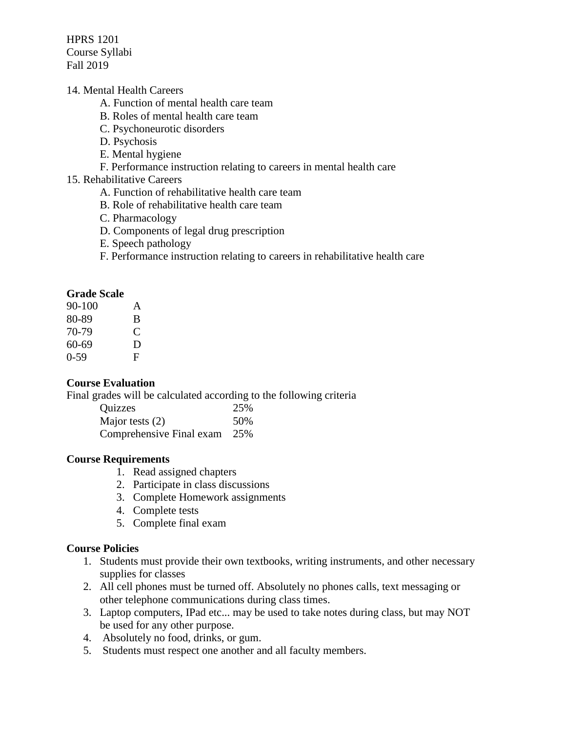#### 14. Mental Health Careers

- A. Function of mental health care team
- B. Roles of mental health care team
- C. Psychoneurotic disorders
- D. Psychosis
- E. Mental hygiene
- F. Performance instruction relating to careers in mental health care

#### 15. Rehabilitative Careers

- A. Function of rehabilitative health care team
- B. Role of rehabilitative health care team
- C. Pharmacology
- D. Components of legal drug prescription
- E. Speech pathology
- F. Performance instruction relating to careers in rehabilitative health care

#### **Grade Scale**

| $90 - 100$ | A |
|------------|---|
| 80-89      | B |
| 70-79      | € |
| 60-69      | D |
| $0-59$     | F |

#### **Course Evaluation**

Final grades will be calculated according to the following criteria

| Quizzes                  | 25% |
|--------------------------|-----|
| Major tests $(2)$        | 50% |
| Comprehensive Final exam | 25% |

#### **Course Requirements**

- 1. Read assigned chapters
- 2. Participate in class discussions
- 3. Complete Homework assignments
- 4. Complete tests
- 5. Complete final exam

#### **Course Policies**

- 1. Students must provide their own textbooks, writing instruments, and other necessary supplies for classes
- 2. All cell phones must be turned off. Absolutely no phones calls, text messaging or other telephone communications during class times.
- 3. Laptop computers, IPad etc... may be used to take notes during class, but may NOT be used for any other purpose.
- 4. Absolutely no food, drinks, or gum.
- 5. Students must respect one another and all faculty members.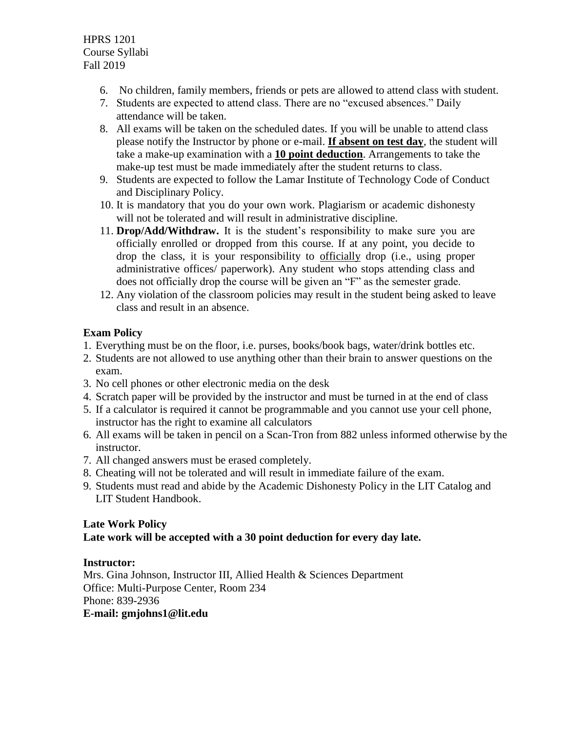- 6. No children, family members, friends or pets are allowed to attend class with student.
- 7. Students are expected to attend class. There are no "excused absences." Daily attendance will be taken.
- 8. All exams will be taken on the scheduled dates. If you will be unable to attend class please notify the Instructor by phone or e-mail. **If absent on test day**, the student will take a make-up examination with a **10 point deduction**. Arrangements to take the make-up test must be made immediately after the student returns to class.
- 9. Students are expected to follow the Lamar Institute of Technology Code of Conduct and Disciplinary Policy.
- 10. It is mandatory that you do your own work. Plagiarism or academic dishonesty will not be tolerated and will result in administrative discipline.
- 11. **Drop/Add/Withdraw.** It is the student's responsibility to make sure you are officially enrolled or dropped from this course. If at any point, you decide to drop the class, it is your responsibility to officially drop (i.e., using proper administrative offices/ paperwork). Any student who stops attending class and does not officially drop the course will be given an "F" as the semester grade.
- 12. Any violation of the classroom policies may result in the student being asked to leave class and result in an absence.

## **Exam Policy**

- 1. Everything must be on the floor, i.e. purses, books/book bags, water/drink bottles etc.
- 2. Students are not allowed to use anything other than their brain to answer questions on the exam.
- 3. No cell phones or other electronic media on the desk
- 4. Scratch paper will be provided by the instructor and must be turned in at the end of class
- 5. If a calculator is required it cannot be programmable and you cannot use your cell phone, instructor has the right to examine all calculators
- 6. All exams will be taken in pencil on a Scan-Tron from 882 unless informed otherwise by the instructor.
- 7. All changed answers must be erased completely.
- 8. Cheating will not be tolerated and will result in immediate failure of the exam.
- 9. Students must read and abide by the Academic Dishonesty Policy in the LIT Catalog and LIT Student Handbook.

# **Late Work Policy**

## **Late work will be accepted with a 30 point deduction for every day late.**

## **Instructor:**

Mrs. Gina Johnson, Instructor III, Allied Health & Sciences Department Office: Multi-Purpose Center, Room 234 Phone: 839-2936 **E-mail: gmjohns1@lit.edu**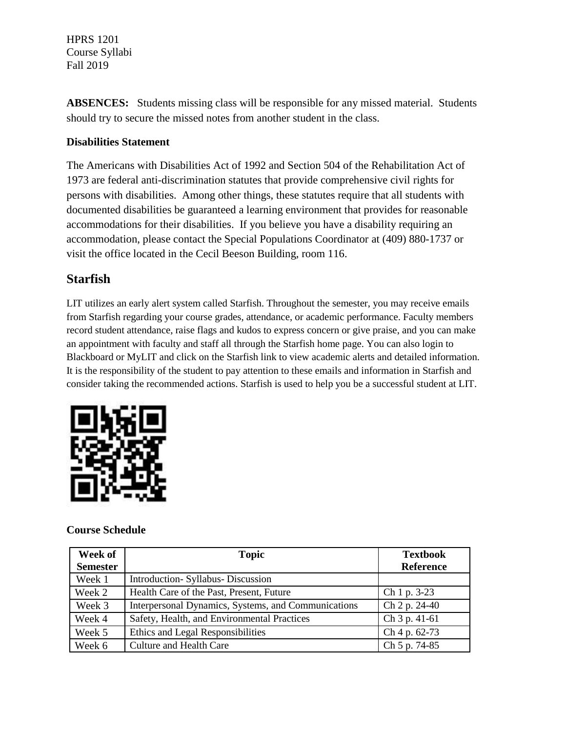**ABSENCES:** Students missing class will be responsible for any missed material. Students should try to secure the missed notes from another student in the class.

### **Disabilities Statement**

The Americans with Disabilities Act of 1992 and Section 504 of the Rehabilitation Act of 1973 are federal anti-discrimination statutes that provide comprehensive civil rights for persons with disabilities. Among other things, these statutes require that all students with documented disabilities be guaranteed a learning environment that provides for reasonable accommodations for their disabilities. If you believe you have a disability requiring an accommodation, please contact the Special Populations Coordinator at (409) 880-1737 or visit the office located in the Cecil Beeson Building, room 116.

# **Starfish**

LIT utilizes an early alert system called Starfish. Throughout the semester, you may receive emails from Starfish regarding your course grades, attendance, or academic performance. Faculty members record student attendance, raise flags and kudos to express concern or give praise, and you can make an appointment with faculty and staff all through the Starfish home page. You can also login to Blackboard or MyLIT and click on the Starfish link to view academic alerts and detailed information. It is the responsibility of the student to pay attention to these emails and information in Starfish and consider taking the recommended actions. Starfish is used to help you be a successful student at LIT.



## **Course Schedule**

| Week of<br><b>Semester</b> | <b>Topic</b>                                        | <b>Textbook</b><br><b>Reference</b> |
|----------------------------|-----------------------------------------------------|-------------------------------------|
| Week 1                     | Introduction-Syllabus-Discussion                    |                                     |
| Week 2                     | Health Care of the Past, Present, Future            | Ch 1 p. 3-23                        |
| Week 3                     | Interpersonal Dynamics, Systems, and Communications | Ch 2 p. 24-40                       |
| Week 4                     | Safety, Health, and Environmental Practices         | Ch 3 p. 41-61                       |
| Week 5                     | Ethics and Legal Responsibilities                   | Ch 4 p. 62-73                       |
| Week 6                     | <b>Culture and Health Care</b>                      | Ch 5 p. 74-85                       |